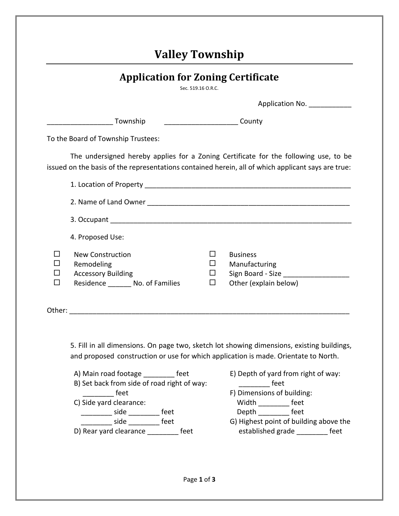## **Valley Township**

| <b>Application for Zoning Certificate</b> |  |
|-------------------------------------------|--|
|                                           |  |

Sec. 519.16 O.R.C.

|                                                                                                          |                                       | Application No.                                                                      |
|----------------------------------------------------------------------------------------------------------|---------------------------------------|--------------------------------------------------------------------------------------|
| Township                                                                                                 |                                       |                                                                                      |
| To the Board of Township Trustees:                                                                       |                                       |                                                                                      |
| issued on the basis of the representations contained herein, all of which applicant says are true:       |                                       | The undersigned hereby applies for a Zoning Certificate for the following use, to be |
|                                                                                                          |                                       |                                                                                      |
|                                                                                                          |                                       |                                                                                      |
|                                                                                                          |                                       |                                                                                      |
| 4. Proposed Use:                                                                                         |                                       |                                                                                      |
| <b>New Construction</b><br>Remodeling<br><b>Accessory Building</b><br>Residence ________ No. of Families | $\mathsf{L}$<br>⊔<br>$\Box$<br>$\Box$ | <b>Business</b><br>Manufacturing<br>Sign Board - Size<br>Other (explain below)       |
|                                                                                                          |                                       |                                                                                      |

5. Fill in all dimensions. On page two, sketch lot showing dimensions, existing buildings, and proposed construction or use for which application is made. Orientate to North.

A) Main road footage feet E) Depth of yard from right of way: B) Set back from side of road right of way: \_\_\_\_\_\_\_\_\_\_\_\_ feet feet F) Dimensions of building: C) Side yard clearance: Width \_\_\_\_\_\_\_\_ feet \_\_\_\_\_\_\_\_ side \_\_\_\_\_\_\_\_ feet Depth \_\_\_\_\_\_\_\_ feet D) Rear yard clearance \_\_\_\_\_\_\_\_ feet established grade \_\_\_\_\_\_\_\_ feet

- 
- 
- G) Highest point of building above the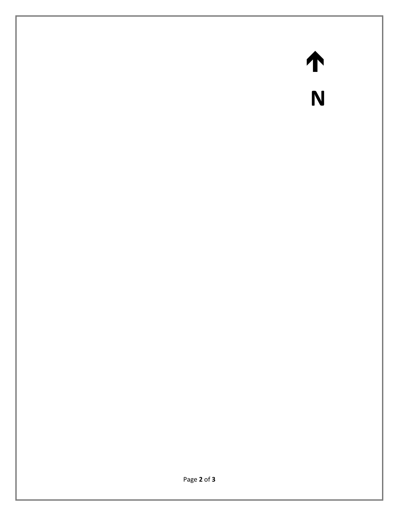## $\begin{array}{c}\n\uparrow \\
N\n\end{array}$